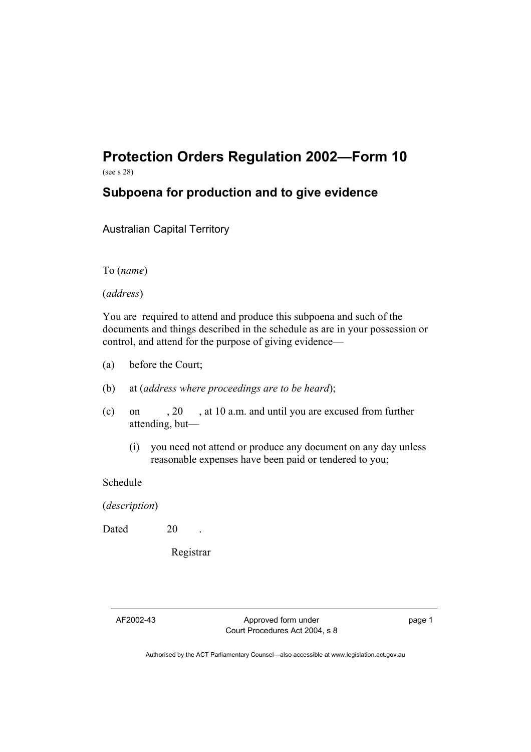## **Protection Orders Regulation 2002—Form 10**

(see s 28)

## **Subpoena for production and to give evidence**

Australian Capital Territory

To (*name*)

(*address*)

You are required to attend and produce this subpoena and such of the documents and things described in the schedule as are in your possession or control, and attend for the purpose of giving evidence—

- (a) before the Court;
- (b) at (*address where proceedings are to be heard*);
- (c) on , 20 , at 10 a.m. and until you are excused from further attending, but—
	- (i) you need not attend or produce any document on any day unless reasonable expenses have been paid or tendered to you;

Schedule

(*description*)

Dated 20

Registrar

AF2002-43 Approved form under Court Procedures Act 2004, s 8 page 1

Authorised by the ACT Parliamentary Counsel—also accessible at www.legislation.act.gov.au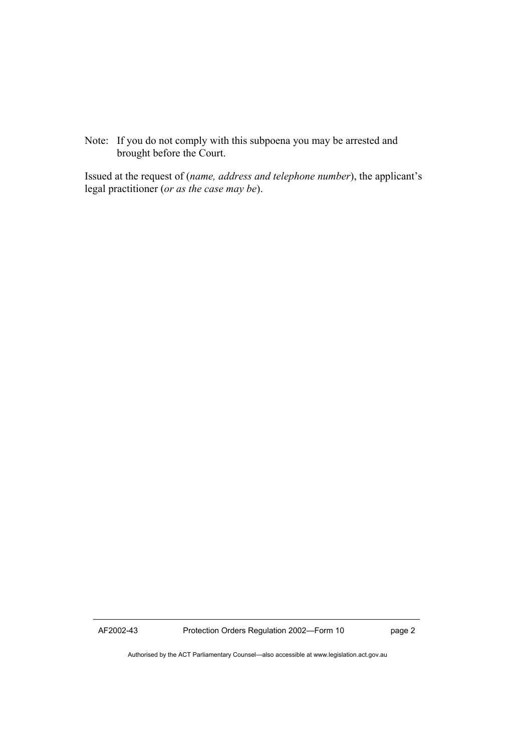Note: If you do not comply with this subpoena you may be arrested and brought before the Court.

Issued at the request of (*name, address and telephone number*), the applicant's legal practitioner (*or as the case may be*).

AF2002-43 Protection Orders Regulation 2002—Form 10 page 2

Authorised by the ACT Parliamentary Counsel—also accessible at www.legislation.act.gov.au